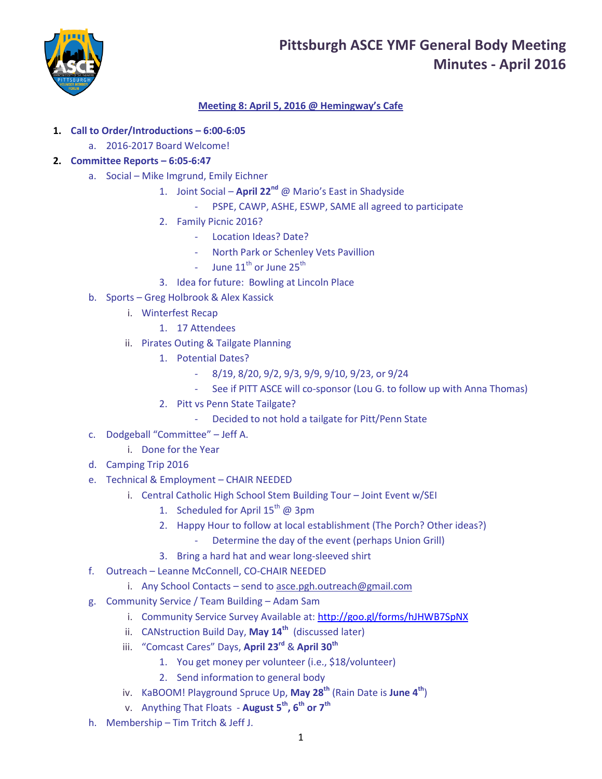# **Pittsburgh ASCE YMF General Body Meeting Minutes - April 2016**



# **Meeting 8: April 5, 2016 @ Hemingway's Cafe**

- **1. Call to Order/Introductions – 6:00-6:05**
	- a. 2016-2017 Board Welcome!

## **2. Committee Reports – 6:05-6:47**

- a. Social Mike Imgrund, Emily Eichner
	- 1. Joint Social **April 22nd** @ Mario's East in Shadyside
		- PSPE, CAWP, ASHE, ESWP, SAME all agreed to participate
	- 2. Family Picnic 2016?
		- Location Ideas? Date?
		- North Park or Schenley Vets Pavillion
		- June  $11^{th}$  or June  $25^{th}$
	- 3. Idea for future: Bowling at Lincoln Place
- b. Sports Greg Holbrook & Alex Kassick
	- i. Winterfest Recap
		- 1. 17 Attendees
	- ii. Pirates Outing & Tailgate Planning
		- 1. Potential Dates?
			- 8/19, 8/20, 9/2, 9/3, 9/9, 9/10, 9/23, or 9/24
			- See if PITT ASCE will co-sponsor (Lou G. to follow up with Anna Thomas)
		- 2. Pitt vs Penn State Tailgate?
			- Decided to not hold a tailgate for Pitt/Penn State
- c. Dodgeball "Committee" Jeff A.
	- i. Done for the Year
- d. Camping Trip 2016
- e. Technical & Employment CHAIR NEEDED
	- i. Central Catholic High School Stem Building Tour Joint Event w/SEI
		- 1. Scheduled for April  $15^{th}$  @ 3pm
		- 2. Happy Hour to follow at local establishment (The Porch? Other ideas?)
			- Determine the day of the event (perhaps Union Grill)
		- 3. Bring a hard hat and wear long-sleeved shirt
- f. Outreach Leanne McConnell, CO-CHAIR NEEDED
	- i. Any School Contacts send to [asce.pgh.outreach@gmail.com](mailto:asce.pgh.outreach@gmail.com)
- g. Community Service / Team Building Adam Sam
	- i. Community Service Survey Available at: <http://goo.gl/forms/hJHWB7SpNX>
	- ii. CANstruction Build Day, **May 14th** (discussed later)
	- iii. "Comcast Cares" Days, **April 23rd** & **April 30th**
		- 1. You get money per volunteer (i.e., \$18/volunteer)
		- 2. Send information to general body
	- iv. KaBOOM! Playground Spruce Up, **May 28th** (Rain Date is **June 4th**)
	- v. Anything That Floats **August 5th, 6th or 7th**
- h. Membership Tim Tritch & Jeff J.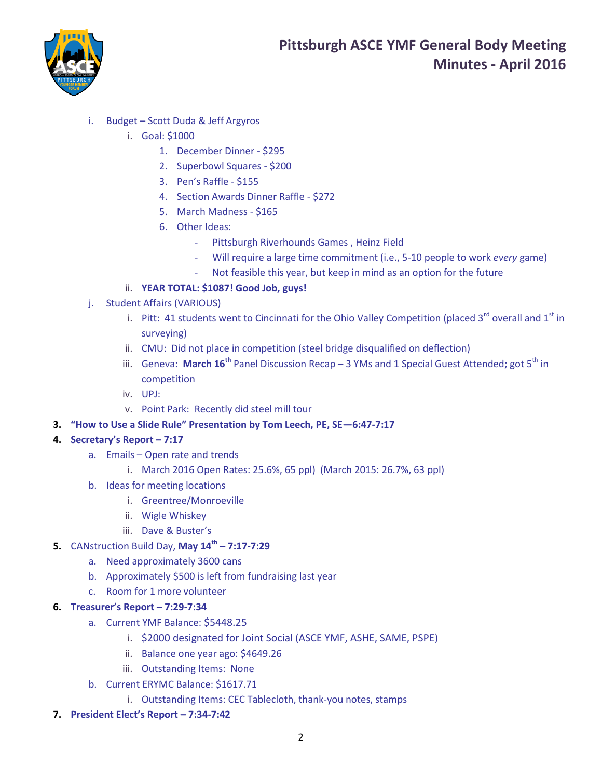

- i. Budget Scott Duda & Jeff Argyros
	- i. Goal: \$1000
		- 1. December Dinner \$295
		- 2. Superbowl Squares \$200
		- 3. Pen's Raffle \$155
		- 4. Section Awards Dinner Raffle \$272
		- 5. March Madness \$165
		- 6. Other Ideas:
			- Pittsburgh Riverhounds Games , Heinz Field
			- Will require a large time commitment (i.e., 5-10 people to work *every* game)
			- Not feasible this year, but keep in mind as an option for the future
	- ii. **YEAR TOTAL: \$1087! Good Job, guys!**
- j. Student Affairs (VARIOUS)
	- i. Pitt: 41 students went to Cincinnati for the Ohio Valley Competition (placed  $3^{rd}$  overall and  $1^{st}$  in surveying)
	- ii. CMU: Did not place in competition (steel bridge disqualified on deflection)
	- iii. Geneva: March 16<sup>th</sup> Panel Discussion Recap 3 YMs and 1 Special Guest Attended; got 5<sup>th</sup> in competition
	- iv. UPJ:
	- v. Point Park: Recently did steel mill tour
- **3. "How to Use a Slide Rule" Presentation by Tom Leech, PE, SE—6:47-7:17**

## **4. Secretary's Report – 7:17**

- a. Emails Open rate and trends
	- i. March 2016 Open Rates: 25.6%, 65 ppl) (March 2015: 26.7%, 63 ppl)
- b. Ideas for meeting locations
	- i. Greentree/Monroeville
	- ii. Wigle Whiskey
	- iii. Dave & Buster's
- **5.** CANstruction Build Day, **May 14th – 7:17-7:29**
	- a. Need approximately 3600 cans
	- b. Approximately \$500 is left from fundraising last year
	- c. Room for 1 more volunteer

#### **6. Treasurer's Report – 7:29-7:34**

- a. Current YMF Balance: \$5448.25
	- i. \$2000 designated for Joint Social (ASCE YMF, ASHE, SAME, PSPE)
	- ii. Balance one year ago: \$4649.26
	- iii. Outstanding Items: None
- b. Current ERYMC Balance: \$1617.71
	- i. Outstanding Items: CEC Tablecloth, thank-you notes, stamps
- **7. President Elect's Report – 7:34-7:42**